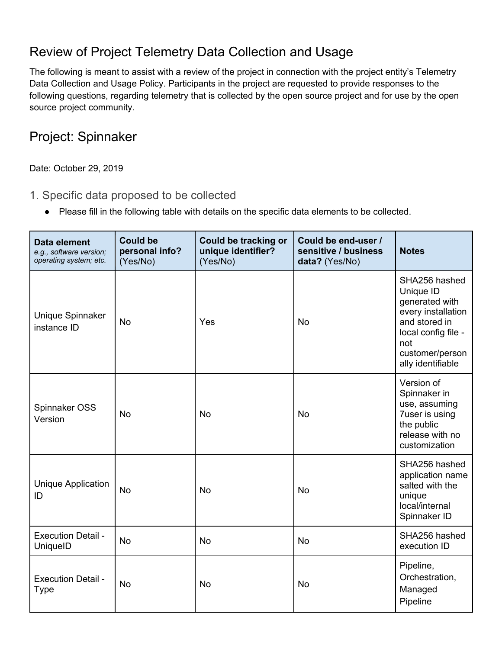### Review of Project Telemetry Data Collection and Usage

The following is meant to assist with a review of the project in connection with the project entity's Telemetry Data Collection and Usage Policy. Participants in the project are requested to provide responses to the following questions, regarding telemetry that is collected by the open source project and for use by the open source project community.

#### Project: Spinnaker

Date: October 29, 2019

- 1. Specific data proposed to be collected
	- Please fill in the following table with details on the specific data elements to be collected.

| Data element<br>e.g., software version;<br>operating system; etc. | <b>Could be</b><br>personal info?<br>(Yes/No) | <b>Could be tracking or</b><br>unique identifier?<br>(Yes/No) | Could be end-user /<br>sensitive / business<br>data? (Yes/No) | <b>Notes</b>                                                                                                                                              |
|-------------------------------------------------------------------|-----------------------------------------------|---------------------------------------------------------------|---------------------------------------------------------------|-----------------------------------------------------------------------------------------------------------------------------------------------------------|
| Unique Spinnaker<br>instance ID                                   | <b>No</b>                                     | Yes                                                           | <b>No</b>                                                     | SHA256 hashed<br>Unique ID<br>generated with<br>every installation<br>and stored in<br>local config file -<br>not<br>customer/person<br>ally identifiable |
| Spinnaker OSS<br>Version                                          | <b>No</b>                                     | <b>No</b>                                                     | <b>No</b>                                                     | Version of<br>Spinnaker in<br>use, assuming<br><b>7user is using</b><br>the public<br>release with no<br>customization                                    |
| Unique Application<br>ID                                          | <b>No</b>                                     | <b>No</b>                                                     | <b>No</b>                                                     | SHA256 hashed<br>application name<br>salted with the<br>unique<br>local/internal<br>Spinnaker ID                                                          |
| <b>Execution Detail -</b><br>UniquelD                             | <b>No</b>                                     | <b>No</b>                                                     | <b>No</b>                                                     | SHA256 hashed<br>execution ID                                                                                                                             |
| <b>Execution Detail -</b><br><b>Type</b>                          | <b>No</b>                                     | <b>No</b>                                                     | <b>No</b>                                                     | Pipeline,<br>Orchestration,<br>Managed<br>Pipeline                                                                                                        |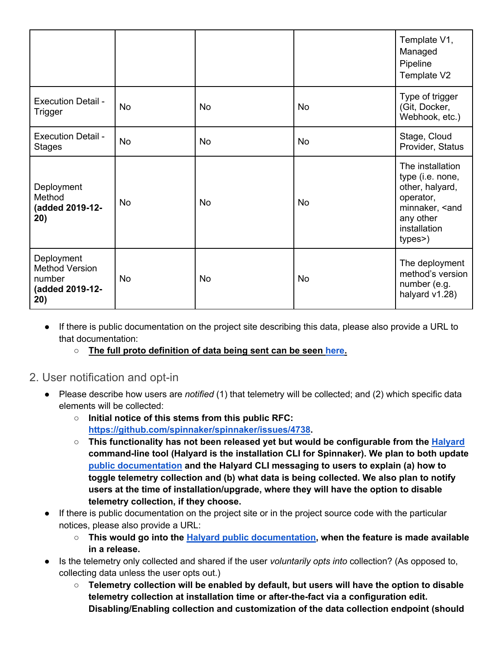|                                                                         |           |    |    | Template V1,<br>Managed<br>Pipeline<br>Template V2                                                                                           |
|-------------------------------------------------------------------------|-----------|----|----|----------------------------------------------------------------------------------------------------------------------------------------------|
| <b>Execution Detail -</b><br>Trigger                                    | <b>No</b> | No | No | Type of trigger<br>(Git, Docker,<br>Webhook, etc.)                                                                                           |
| <b>Execution Detail -</b><br><b>Stages</b>                              | <b>No</b> | No | No | Stage, Cloud<br>Provider, Status                                                                                                             |
| Deployment<br>Method<br>(added 2019-12-<br>20)                          | <b>No</b> | No | No | The installation<br>type (i.e. none,<br>other, halyard,<br>operator,<br>minnaker, <and<br>any other<br/>installation<br/>types&gt;)</and<br> |
| Deployment<br><b>Method Version</b><br>number<br>(added 2019-12-<br>20) | No        | No | No | The deployment<br>method's version<br>number (e.g.<br>halyard v1.28)                                                                         |

- If there is public documentation on the project site describing this data, please also provide a URL to that documentation:
	- **The full proto definition of data being sent can be seen here.**
- 2. User notification and opt-in
	- Please describe how users are *notified* (1) that telemetry will be collected; and (2) which specific data elements will be collected:
		- **Initial notice of this stems from this public RFC: https://github.com/spinnaker/spinnaker/issues/4738.**
		- **This functionality has not been released yet but would be configurable from the Halyard command-line tool (Halyard is the installation CLI for Spinnaker). We plan to both update public documentation and the Halyard CLI messaging to users to explain (a) how to toggle telemetry collection and (b) what data is being collected. We also plan to notify users at the time of installation/upgrade, where they will have the option to disable telemetry collection, if they choose.**
	- If there is public documentation on the project site or in the project source code with the particular notices, please also provide a URL:
		- **This would go into the Halyard public documentation, when the feature is made available in a release.**
	- Is the telemetry only collected and shared if the user *voluntarily opts into* collection? (As opposed to, collecting data unless the user opts out.)
		- **Telemetry collection will be enabled by default, but users will have the option to disable telemetry collection at installation time or after-the-fact via a configuration edit. Disabling/Enabling collection and customization of the data collection endpoint (should**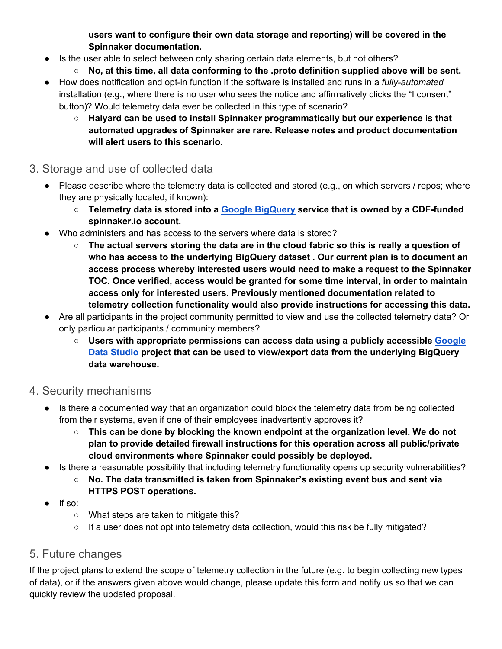**users want to configure their own data storage and reporting) will be covered in the Spinnaker documentation.**

- Is the user able to select between only sharing certain data elements, but not others?
	- **No, at this time, all data conforming to the .proto definition supplied above will be sent.**
- How does notification and opt-in function if the software is installed and runs in a *fully-automated* installation (e.g., where there is no user who sees the notice and affirmatively clicks the "I consent" button)? Would telemetry data ever be collected in this type of scenario?
	- **Halyard can be used to install Spinnaker programmatically but our experience is that automated upgrades of Spinnaker are rare. Release notes and product documentation will alert users to this scenario.**
- 3. Storage and use of collected data
	- Please describe where the telemetry data is collected and stored (e.g., on which servers / repos; where they are physically located, if known):
		- **Telemetry data is stored into a Google BigQuery service that is owned by a CDF-funded spinnaker.io account.**
	- Who administers and has access to the servers where data is stored?
		- **The actual servers storing the data are in the cloud fabric so this is really a question of who has access to the underlying BigQuery dataset . Our current plan is to document an access process whereby interested users would need to make a request to the Spinnaker TOC. Once verified, access would be granted for some time interval, in order to maintain access only for interested users. Previously mentioned documentation related to telemetry collection functionality would also provide instructions for accessing this data.**
	- Are all participants in the project community permitted to view and use the collected telemetry data? Or only particular participants / community members?
		- **Users with appropriate permissions can access data using a publicly accessible Google Data Studio project that can be used to view/export data from the underlying BigQuery data warehouse.**
- 4. Security mechanisms
	- Is there a documented way that an organization could block the telemetry data from being collected from their systems, even if one of their employees inadvertently approves it?
		- **This can be done by blocking the known endpoint at the organization level. We do not plan to provide detailed firewall instructions for this operation across all public/private cloud environments where Spinnaker could possibly be deployed.**
	- Is there a reasonable possibility that including telemetry functionality opens up security vulnerabilities?
		- **No. The data transmitted is taken from Spinnaker's existing event bus and sent via HTTPS POST operations.**
	- If so:
		- What steps are taken to mitigate this?
		- If a user does not opt into telemetry data collection, would this risk be fully mitigated?

#### 5. Future changes

If the project plans to extend the scope of telemetry collection in the future (e.g. to begin collecting new types of data), or if the answers given above would change, please update this form and notify us so that we can quickly review the updated proposal.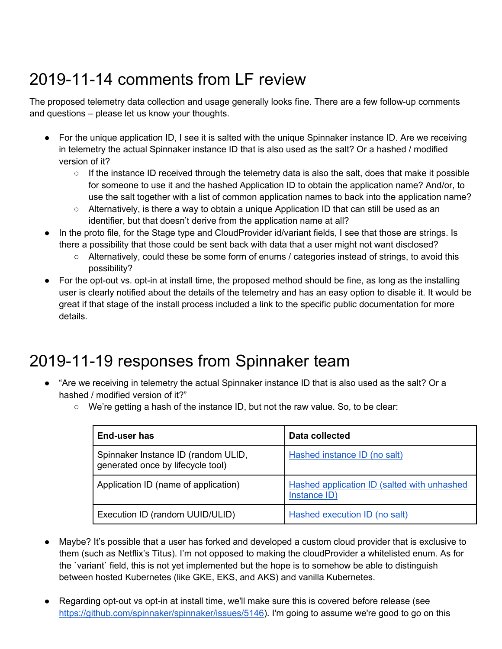# 2019-11-14 comments from LF review

The proposed telemetry data collection and usage generally looks fine. There are a few follow-up comments and questions – please let us know your thoughts.

- For the unique application ID, I see it is salted with the unique Spinnaker instance ID. Are we receiving in telemetry the actual Spinnaker instance ID that is also used as the salt? Or a hashed / modified version of it?
	- $\circ$  If the instance ID received through the telemetry data is also the salt, does that make it possible for someone to use it and the hashed Application ID to obtain the application name? And/or, to use the salt together with a list of common application names to back into the application name?
	- $\circ$  Alternatively, is there a way to obtain a unique Application ID that can still be used as an identifier, but that doesn't derive from the application name at all?
- In the proto file, for the Stage type and CloudProvider id/variant fields, I see that those are strings. Is there a possibility that those could be sent back with data that a user might not want disclosed?
	- Alternatively, could these be some form of enums / categories instead of strings, to avoid this possibility?
- For the opt-out vs. opt-in at install time, the proposed method should be fine, as long as the installing user is clearly notified about the details of the telemetry and has an easy option to disable it. It would be great if that stage of the install process included a link to the specific public documentation for more details.

# 2019-11-19 responses from Spinnaker team

- "Are we receiving in telemetry the actual Spinnaker instance ID that is also used as the salt? Or a hashed / modified version of it?"
	- $\circ$  We're getting a hash of the instance ID, but not the raw value. So, to be clear:

| <b>End-user has</b>                                                      | Data collected                                              |  |
|--------------------------------------------------------------------------|-------------------------------------------------------------|--|
| Spinnaker Instance ID (random ULID,<br>generated once by lifecycle tool) | Hashed instance ID (no salt)                                |  |
| Application ID (name of application)                                     | Hashed application ID (salted with unhashed<br>Instance ID) |  |
| Execution ID (random UUID/ULID)                                          | Hashed execution ID (no salt)                               |  |

- Maybe? It's possible that a user has forked and developed a custom cloud provider that is exclusive to them (such as Netflix's Titus). I'm not opposed to making the cloudProvider a whitelisted enum. As for the `variant` field, this is not yet implemented but the hope is to somehow be able to distinguish between hosted Kubernetes (like GKE, EKS, and AKS) and vanilla Kubernetes.
- Regarding opt-out vs opt-in at install time, we'll make sure this is covered before release (see https://github.com/spinnaker/spinnaker/issues/5146). I'm going to assume we're good to go on this